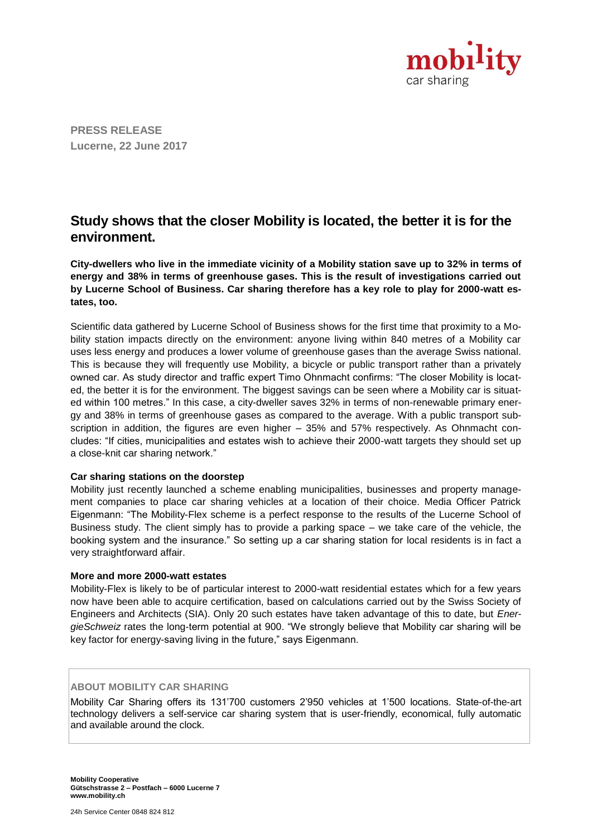

**PRESS RELEASE Lucerne, 22 June 2017**

# **Study shows that the closer Mobility is located, the better it is for the environment.**

**City-dwellers who live in the immediate vicinity of a Mobility station save up to 32% in terms of energy and 38% in terms of greenhouse gases. This is the result of investigations carried out by Lucerne School of Business. Car sharing therefore has a key role to play for 2000-watt estates, too.**

Scientific data gathered by Lucerne School of Business shows for the first time that proximity to a Mobility station impacts directly on the environment: anyone living within 840 metres of a Mobility car uses less energy and produces a lower volume of greenhouse gases than the average Swiss national. This is because they will frequently use Mobility, a bicycle or public transport rather than a privately owned car. As study director and traffic expert Timo Ohnmacht confirms: "The closer Mobility is located, the better it is for the environment. The biggest savings can be seen where a Mobility car is situated within 100 metres." In this case, a city-dweller saves 32% in terms of non-renewable primary energy and 38% in terms of greenhouse gases as compared to the average. With a public transport subscription in addition, the figures are even higher – 35% and 57% respectively. As Ohnmacht concludes: "If cities, municipalities and estates wish to achieve their 2000-watt targets they should set up a close-knit car sharing network."

#### **Car sharing stations on the doorstep**

Mobility just recently launched a scheme enabling municipalities, businesses and property management companies to place car sharing vehicles at a location of their choice. Media Officer Patrick Eigenmann: "The Mobility-Flex scheme is a perfect response to the results of the Lucerne School of Business study. The client simply has to provide a parking space – we take care of the vehicle, the booking system and the insurance." So setting up a car sharing station for local residents is in fact a very straightforward affair.

#### **More and more 2000-watt estates**

Mobility-Flex is likely to be of particular interest to 2000-watt residential estates which for a few years now have been able to acquire certification, based on calculations carried out by the Swiss Society of Engineers and Architects (SIA). Only 20 such estates have taken advantage of this to date, but *EnergieSchweiz* rates the long-term potential at 900. "We strongly believe that Mobility car sharing will be key factor for energy-saving living in the future," says Eigenmann.

## **ABOUT MOBILITY CAR SHARING**

Mobility Car Sharing offers its 131'700 customers 2'950 vehicles at 1'500 locations. State-of-the-art technology delivers a self-service car sharing system that is user-friendly, economical, fully automatic and available around the clock.